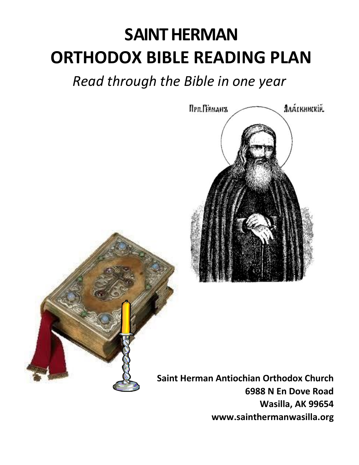# **SAINT HERMAN ORTHODOX BIBLE READING PLAN**

## *Read through the Bible in one year*





**Saint Herman Antiochian Orthodox Church 6988 N En Dove Road Wasilla, AK 99654 www.sainthermanwasilla.org**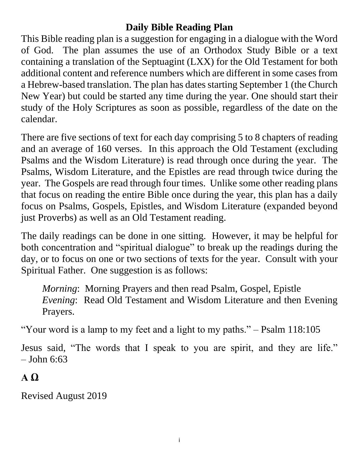#### **Daily Bible Reading Plan**

This Bible reading plan is a suggestion for engaging in a dialogue with the Word of God. The plan assumes the use of an Orthodox Study Bible or a text containing a translation of the Septuagint (LXX) for the Old Testament for both additional content and reference numbers which are different in some cases from a Hebrew-based translation. The plan has dates starting September 1 (the Church New Year) but could be started any time during the year. One should start their study of the Holy Scriptures as soon as possible, regardless of the date on the calendar.

There are five sections of text for each day comprising 5 to 8 chapters of reading and an average of 160 verses. In this approach the Old Testament (excluding Psalms and the Wisdom Literature) is read through once during the year. The Psalms, Wisdom Literature, and the Epistles are read through twice during the year. The Gospels are read through four times. Unlike some other reading plans that focus on reading the entire Bible once during the year, this plan has a daily focus on Psalms, Gospels, Epistles, and Wisdom Literature (expanded beyond just Proverbs) as well as an Old Testament reading.

The daily readings can be done in one sitting. However, it may be helpful for both concentration and "spiritual dialogue" to break up the readings during the day, or to focus on one or two sections of texts for the year. Consult with your Spiritual Father. One suggestion is as follows:

*Morning*: Morning Prayers and then read Psalm, Gospel, Epistle *Evening*: Read Old Testament and Wisdom Literature and then Evening Prayers.

"Your word is a lamp to my feet and a light to my paths." – Psalm 118:105

Jesus said, "The words that I speak to you are spirit, and they are life."  $-$  John 6:63

### **Α Ω**

Revised August 2019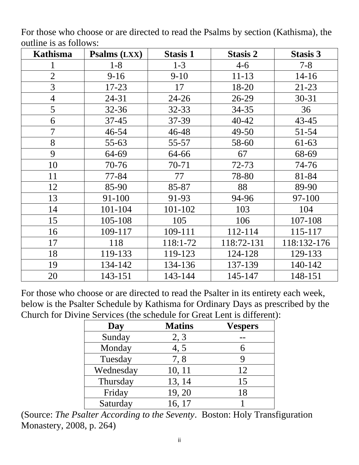| Kathisma       | Psalms (LXX) | <b>Stasis 1</b> | <b>Stasis 2</b> | <b>Stasis 3</b> |
|----------------|--------------|-----------------|-----------------|-----------------|
|                | $1-8$        | $1 - 3$         | $4 - 6$         | $7 - 8$         |
| $\overline{2}$ | $9-16$       | $9-10$          | $11 - 13$       | $14-16$         |
| 3              | 17-23        | 17              | 18-20           | $21 - 23$       |
| $\overline{4}$ | 24-31        | $24 - 26$       | 26-29           | $30 - 31$       |
| 5              | $32 - 36$    | $32 - 33$       | 34-35           | 36              |
| 6              | $37 - 45$    | $37 - 39$       | $40 - 42$       | $43 - 45$       |
| $\overline{7}$ | 46-54        | 46-48           | 49-50           | 51-54           |
| 8              | $55 - 63$    | 55-57           | 58-60           | $61-63$         |
| 9              | 64-69        | 64-66           | 67              | 68-69           |
| 10             | 70-76        | 70-71           | $72 - 73$       | 74-76           |
| 11             | 77-84        | 77              | 78-80           | 81-84           |
| 12             | 85-90        | 85-87           | 88              | 89-90           |
| 13             | 91-100       | 91-93           | 94-96           | 97-100          |
| 14             | 101-104      | 101-102         | 103             | 104             |
| 15             | 105-108      | 105             | 106             | 107-108         |
| 16             | 109-117      | 109-111         | 112-114         | 115-117         |
| 17             | 118          | 118:1-72        | 118:72-131      | 118:132-176     |
| 18             | 119-133      | 119-123         | 124-128         | 129-133         |
| 19             | 134-142      | 134-136         | 137-139         | 140-142         |
| 20             | 143-151      | 143-144         | 145-147         | 148-151         |

For those who choose or are directed to read the Psalms by section (Kathisma), the outline is as follows:

For those who choose or are directed to read the Psalter in its entirety each week, below is the Psalter Schedule by Kathisma for Ordinary Days as prescribed by the Church for Divine Services (the schedule for Great Lent is different):

| Day       | <b>Matins</b> | <b>Vespers</b> |
|-----------|---------------|----------------|
| Sunday    | 2, 3          |                |
| Monday    | 4,5           |                |
| Tuesday   | 7,8           | 9              |
| Wednesday | 10, 11        | 12             |
| Thursday  | 13, 14        | 15             |
| Friday    | 19, 20        | 18             |
| Saturday  | 16, 17        |                |

(Source: *The Psalter According to the Seventy*. Boston: Holy Transfiguration Monastery, 2008, p. 264)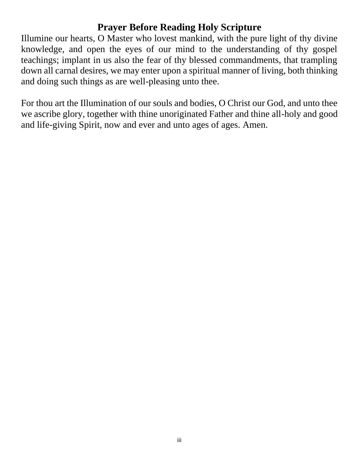#### **Prayer Before Reading Holy Scripture**

Illumine our hearts, O Master who lovest mankind, with the pure light of thy divine knowledge, and open the eyes of our mind to the understanding of thy gospel teachings; implant in us also the fear of thy blessed commandments, that trampling down all carnal desires, we may enter upon a spiritual manner of living, both thinking and doing such things as are well-pleasing unto thee.

For thou art the Illumination of our souls and bodies, O Christ our God, and unto thee we ascribe glory, together with thine unoriginated Father and thine all-holy and good and life-giving Spirit, now and ever and unto ages of ages. Amen.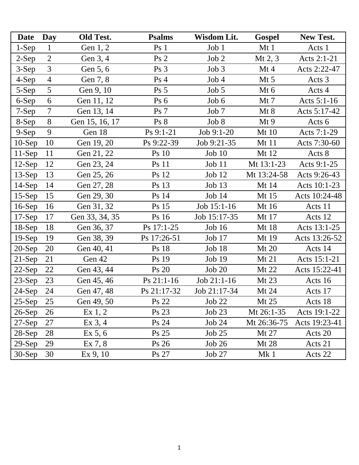| Date      | Day            | Old Test.      | <b>Psalms</b>   | Wisdom Lit.   | <b>Gospel</b>   | <b>New Test.</b> |
|-----------|----------------|----------------|-----------------|---------------|-----------------|------------------|
| $1-Sep$   | $\mathbf{1}$   | Gen 1, 2       | Ps <sub>1</sub> | Job 1         | Mt1             | Acts 1           |
| $2-Sep$   | $\overline{2}$ | Gen 3, 4       | Ps <sub>2</sub> | Job 2         | Mt $2, 3$       | Acts 2:1-21      |
| $3-Sep$   | $\overline{3}$ | Gen 5, 6       | Ps <sub>3</sub> | Job 3         | Mt4             | Acts 2:22-47     |
| $4-Sep$   | $\overline{4}$ | Gen 7, 8       | Ps <sub>4</sub> | Job 4         | $Mt$ 5          | Acts 3           |
| $5-Sep$   | 5              | Gen 9, 10      | Ps <sub>5</sub> | Job 5         | Mt 6            | Acts 4           |
| $6-Sep$   | 6              | Gen 11, 12     | Ps <sub>6</sub> | Job 6         | Mt 7            | Acts 5:1-16      |
| $7-Sep$   | $\overline{7}$ | Gen 13, 14     | Ps <sub>7</sub> | Job 7         | Mt 8            | Acts 5:17-42     |
| 8-Sep     | 8              | Gen 15, 16, 17 | Ps 8            | Job 8         | Mt 9            | Acts 6           |
| 9-Sep     | 9              | Gen 18         | $Ps 9:1-21$     | $Job 9:1-20$  | Mt 10           | Acts 7:1-29      |
| $10-Sep$  | 10             | Gen 19, 20     | Ps 9:22-39      | Job 9:21-35   | Mt 11           | Acts 7:30-60     |
| $11-Sep$  | 11             | Gen 21, 22     | Ps 10           | Job 10        | Mt 12           | Acts 8           |
| $12$ -Sep | 12             | Gen 23, 24     | Ps 11           | Job 11        | Mt 13:1-23      | Acts 9:1-25      |
| $13-Sep$  | 13             | Gen 25, 26     | Ps 12           | Job $12$      | Mt 13:24-58     | Acts 9:26-43     |
| $14-Sep$  | 14             | Gen 27, 28     | Ps 13           | Job 13        | Mt 14           | Acts 10:1-23     |
| $15-Sep$  | 15             | Gen 29, 30     | Ps 14           | Job 14        | $Mt$ 15         | Acts 10:24-48    |
| $16-Sep$  | 16             | Gen 31, 32     | Ps 15           | Job 15:1-16   | Mt 16           | Acts 11          |
| $17-Sep$  | 17             | Gen 33, 34, 35 | Ps 16           | Job 15:17-35  | Mt 17           | Acts 12          |
| $18-Sep$  | 18             | Gen 36, 37     | Ps 17:1-25      | Job $16$      | Mt 18           | Acts 13:1-25     |
| $19-Sep$  | 19             | Gen 38, 39     | Ps 17:26-51     | Job $17$      | Mt 19           | Acts 13:26-52    |
| 20-Sep    | 20             | Gen 40, 41     | Ps 18           | Job 18        | Mt 20           | Acts 14          |
| $21-Sep$  | 21             | Gen 42         | Ps 19           | <b>Job 19</b> | Mt 21           | Acts 15:1-21     |
| $22-Sep$  | 22             | Gen 43, 44     | Ps 20           | Job 20        | Mt 22           | Acts 15:22-41    |
| $23-Sep$  | 23             | Gen 45, 46     | $Ps 21:1-16$    | Job 21:1-16   | Mt 23           | Acts 16          |
| $24-Sep$  | 24             | Gen 47, 48     | Ps 21:17-32     | Job 21:17-34  | Mt 24           | Acts 17          |
| $25-Sep$  | 25             | Gen 49, 50     | Ps 22           | Job 22        | Mt 25           | Acts 18          |
| $26-Sep$  | 26             | Ex $1, 2$      | Ps 23           | Job 23        | Mt 26:1-35      | Acts 19:1-22     |
| $27-Sep$  | 27             | Ex $3, 4$      | Ps 24           | Job 24        | Mt 26:36-75     | Acts 19:23-41    |
| $28-Sep$  | 28             | Ex $5, 6$      | Ps 25           | Job 25        | Mt 27           | Acts 20          |
| $29-Sep$  | 29             | Ex 7, 8        | Ps 26           | Job 26        | Mt 28           | Acts 21          |
| $30-Sep$  | 30             | Ex 9, 10       | Ps 27           | <b>Job 27</b> | Mk <sub>1</sub> | Acts 22          |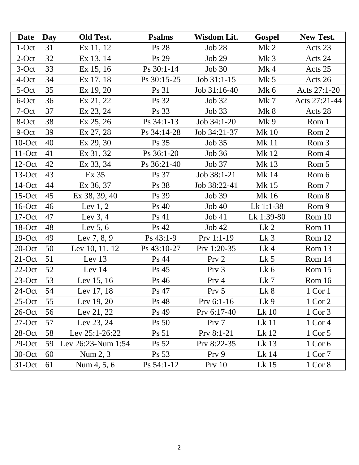| <b>Date</b> | Day | Old Test.          | <b>Psalms</b> | Wisdom Lit.       | <b>Gospel</b>   | New Test.        |
|-------------|-----|--------------------|---------------|-------------------|-----------------|------------------|
| $1$ -Oct    | 31  | Ex 11, 12          | Ps 28         | Job 28            | Mk <sub>2</sub> | Acts 23          |
| $2$ -Oct    | 32  | Ex 13, 14          | Ps 29         | <b>Job 29</b>     | Mk <sub>3</sub> | Acts 24          |
| $3-Oct$     | 33  | Ex 15, 16          | Ps 30:1-14    | <b>Job 30</b>     | $Mk$ 4          | Acts 25          |
| 4-Oct       | 34  | Ex 17, 18          | Ps 30:15-25   | Job 31:1-15       | $Mk$ 5          | Acts 26          |
| 5-Oct       | 35  | Ex 19, 20          | Ps 31         | Job 31:16-40      | Mk 6            | Acts 27:1-20     |
| 6-Oct       | 36  | Ex 21, 22          | Ps 32         | Job 32            | $Mk$ 7          | Acts 27:21-44    |
| 7-Oct       | 37  | Ex 23, 24          | Ps 33         | Job 33            | Mk <sub>8</sub> | Acts 28          |
| 8-Oct       | 38  | $Ex\,25,26$        | Ps 34:1-13    | Job 34:1-20       | Mk 9            | Rom 1            |
| 9-Oct       | 39  | Ex 27, 28          | Ps 34:14-28   | Job 34:21-37      | <b>Mk 10</b>    | Rom 2            |
| $10$ -Oct   | 40  | Ex 29, 30          | Ps 35         | <b>Job 35</b>     | <b>Mk11</b>     | Rom <sub>3</sub> |
| $11-Oct$    | 41  | Ex 31, 32          | Ps 36:1-20    | Job 36            | Mk 12           | Rom 4            |
| $12$ -Oct   | 42  | Ex 33, 34          | Ps 36:21-40   | Job 37            | Mk 13           | Rom 5            |
| $13-Oct$    | 43  | Ex 35              | Ps 37         | Job 38:1-21       | Mk 14           | Rom 6            |
| $14$ -Oct   | 44  | Ex 36, 37          | Ps 38         | Job 38:22-41      | Mk 15           | Rom 7            |
| $15-Oct$    | 45  | Ex 38, 39, 40      | Ps 39         | Job 39            | Mk 16           | Rom 8            |
| $16$ -Oct   | 46  | Lev $1, 2$         | Ps 40         | Job40             | Lk 1:1-38       | Rom 9            |
| $17-Oct$    | 47  | Lev $3, 4$         | Ps 41         | Job 41            | Lk 1:39-80      | Rom 10           |
| 18-Oct      | 48  | Lev $5, 6$         | Ps 42         | Job 42            | Lk <sub>2</sub> | Rom 11           |
| $19-Oct$    | 49  | Lev $7, 8, 9$      | $Ps$ 43:1-9   | $Prv 1:1-19$      | Lk <sub>3</sub> | Rom 12           |
| $20$ -Oct   | 50  | Lev 10, 11, 12     | Ps 43:10-27   | Prv 1:20-35       | $Lk$ 4          | Rom 13           |
| $21$ -Oct   | 51  | Lev $13$           | Ps 44         | Prv <sub>2</sub>  | $Lk$ 5          | Rom 14           |
| $22$ -Oct   | 52  | Lev 14             | Ps 45         | Prv <sub>3</sub>  | Lk 6            | Rom 15           |
| $23$ -Oct   | 53  | Lev 15, 16         | Ps 46         | Prv 4             | Lk 7            | Rom 16           |
| $24$ -Oct   | 54  | Lev 17, 18         | Ps 47         | Prv 5             | Lk 8            | 1 Cor 1          |
| $25$ -Oct   | 55  | Lev $19, 20$       | Ps 48         | Prv $6:1-16$      | Lk9             | 1 Cor 2          |
| $26$ -Oct   | 56  | Lev $21, 22$       | Ps 49         | Prv 6:17-40       | $Lk$ 10         | 1 Cor 3          |
| $27-Oct$    | 57  | Lev $23, 24$       | Ps 50         | Prv 7             | $Lk$ 11         | $1$ Cor 4        |
| $28-Oct$    | 58  | Lev 25:1-26:22     | Ps 51         | $Prv 8:1-21$      | Lk 12           | 1 Cor 5          |
| $29-Oct$    | 59  | Lev 26:23-Num 1:54 | Ps 52         | Prv 8:22-35       | Lk 13           | $1$ Cor $6$      |
| $30$ -Oct   | 60  | Num 2, 3           | Ps 53         | Prv 9             | Lk 14           | 1 Cor 7          |
| $31-Oct$    | 61  | Num 4, 5, 6        | Ps 54:1-12    | Prv <sub>10</sub> | $Lk$ 15         | $1$ Cor $8$      |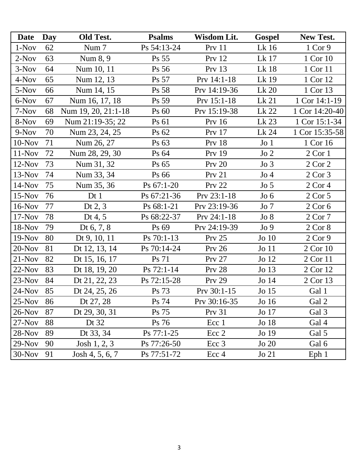| Date      | Day | Old Test.           | <b>Psalms</b> | Wisdom Lit.       | <b>Gospel</b>   | New Test.        |
|-----------|-----|---------------------|---------------|-------------------|-----------------|------------------|
| 1-Nov     | 62  | Num 7               | Ps 54:13-24   | <b>Prv</b> 11     | $Lk$ 16         | $1$ Cor $9$      |
| $2-Nov$   | 63  | Num 8, 9            | Ps 55         | Prv <sub>12</sub> | Lk 17           | 1 Cor 10         |
| $3-Nov$   | 64  | Num 10, 11          | Ps 56         | Prv 13            | Lk 18           | 1 Cor 11         |
| 4-Nov     | 65  | Num 12, 13          | Ps 57         | Prv 14:1-18       | Lk 19           | 1 Cor 12         |
| 5-Nov     | 66  | Num 14, 15          | Ps 58         | Prv 14:19-36      | Lk 20           | 1 Cor 13         |
| 6-Nov     | 67  | Num 16, 17, 18      | Ps 59         | Prv 15:1-18       | Lk 21           | 1 Cor 14:1-19    |
| 7-Nov     | 68  | Num 19, 20, 21:1-18 | Ps 60         | Prv 15:19-38      | Lk 22           | 1 Cor 14:20-40   |
| 8-Nov     | 69  | Num 21:19-35; 22    | Ps 61         | Prv 16            | Lk 23           | 1 Cor 15:1-34    |
| 9-Nov     | 70  | Num 23, 24, 25      | Ps 62         | $Prv$ 17          | Lk 24           | 1 Cor 15:35-58   |
| $10-Nov$  | 71  | Num 26, 27          | Ps 63         | <b>Prv</b> 18     | Jo <sub>1</sub> | 1 Cor 16         |
| $11-Nov$  | 72  | Num 28, 29, 30      | Ps 64         | Prv 19            | $Jo$ 2          | $2$ Cor $1$      |
| $12-Nov$  | 73  | Num 31, 32          | Ps 65         | <b>Prv 20</b>     | $Jo$ 3          | 2 Cor 2          |
| $13-Nov$  | 74  | Num 33, 34          | Ps 66         | Prv 21            | Jo4             | $2$ Cor $3$      |
| $14-Nov$  | 75  | Num 35, 36          | Ps 67:1-20    | <b>Prv 22</b>     | Jo <sub>5</sub> | $2$ Cor $4$      |
| $15-Nov$  | 76  | Dt <sub>1</sub>     | Ps 67:21-36   | Prv 23:1-18       | Jo <sub>6</sub> | $2$ Cor 5        |
| $16$ -Nov | 77  | Dt $2, 3$           | Ps 68:1-21    | Prv 23:19-36      | Jo7             | $2$ Cor $6$      |
| $17-Nov$  | 78  | Dt 4, $5$           | Ps 68:22-37   | Prv 24:1-18       | Jo 8            | $2$ Cor $7$      |
| $18-Nov$  | 79  | Dt 6, 7, 8          | Ps 69         | Prv 24:19-39      | Jo9             | 2 Cor 8          |
| $19-Nov$  | 80  | Dt 9, 10, 11        | Ps 70:1-13    | $Prv$ 25          | $Jo$ 10         | $2$ Cor $9$      |
| $20$ -Nov | 81  | Dt 12, 13, 14       | Ps 70:14-24   | <b>Prv 26</b>     | Jo 11           | 2 Cor 10         |
| $21-Nov$  | 82  | Dt 15, 16, 17       | Ps 71         | Prv 27            | Jo 12           | 2 Cor 11         |
| $22-Nov$  | 83  | Dt 18, 19, 20       | Ps 72:1-14    | <b>Prv 28</b>     | Jo 13           | 2 Cor 12         |
| $23-Nov$  | 84  | Dt 21, 22, 23       | Ps 72:15-28   | <b>Prv 29</b>     | Jo 14           | 2 Cor 13         |
| $24-Nov$  | 85  | Dt 24, 25, 26       | Ps 73         | Prv 30:1-15       | Jo 15           | Gal 1            |
| $25-Nov$  | 86  | Dt 27, 28           | Ps 74         | Prv 30:16-35      | Jo 16           | Gal 2            |
| $26$ -Nov | 87  | Dt 29, 30, 31       | Ps 75         | <b>Prv</b> 31     | Jo 17           | Gal 3            |
| $27-Nov$  | 88  | Dt 32               | Ps 76         | Ecc 1             | Jo 18           | Gal 4            |
| $28-Nov$  | 89  | Dt 33, 34           | Ps 77:1-25    | Ecc 2             | Jo 19           | Gal 5            |
| $29-Nov$  | 90  | Josh $1, 2, 3$      | Ps 77:26-50   | Ecc 3             | Jo 20           | Gal 6            |
| $30-Nov$  | 91  | Josh 4, 5, 6, 7     | Ps 77:51-72   | Ecc 4             | Jo 21           | Eph <sub>1</sub> |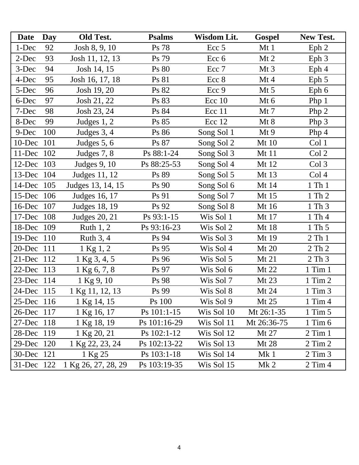| <b>Date</b> | Day | Old Test.           | <b>Psalms</b> | Wisdom Lit. | <b>Gospel</b>   | New Test.        |
|-------------|-----|---------------------|---------------|-------------|-----------------|------------------|
| 1-Dec       | 92  | Josh 8, 9, 10       | Ps 78         | Ecc 5       | Mt1             | Eph 2            |
| 2-Dec       | 93  | Josh 11, 12, 13     | Ps 79         | Ecc 6       | $Mt$ 2          | Eph <sub>3</sub> |
| 3-Dec       | 94  | Josh 14, 15         | Ps 80         | Ecc 7       | Mt3             | Eph 4            |
| 4-Dec       | 95  | Josh 16, 17, 18     | Ps 81         | Ecc 8       | Mt4             | Eph $5$          |
| 5-Dec       | 96  | Josh 19, 20         | Ps 82         | Ecc 9       | $Mt$ 5          | Eph 6            |
| 6-Dec       | 97  | Josh 21, 22         | Ps 83         | $Ecc$ 10    | Mt 6            | Php $1$          |
| 7-Dec       | 98  | Josh 23, 24         | Ps 84         | Ecc 11      | $Mt$ 7          | Php 2            |
| 8-Dec       | 99  | Judges $1, 2$       | Ps 85         | Ecc 12      | Mt 8            | Php 3            |
| 9-Dec       | 100 | Judges 3, 4         | Ps 86         | Song Sol 1  | Mt9             | Php 4            |
| 10-Dec 101  |     | Judges 5, 6         | Ps 87         | Song Sol 2  | Mt 10           | Col 1            |
| 11-Dec 102  |     | Judges 7, 8         | Ps 88:1-24    | Song Sol 3  | $Mt$ 11         | Col 2            |
| 12-Dec 103  |     | Judges 9, 10        | Ps 88:25-53   | Song Sol 4  | Mt 12           | Col 3            |
| 13-Dec 104  |     | Judges 11, 12       | Ps 89         | Song Sol 5  | Mt 13           | Col <sub>4</sub> |
| 14-Dec 105  |     | Judges 13, 14, 15   | <b>Ps 90</b>  | Song Sol 6  | Mt 14           | 1 Th 1           |
| 15-Dec 106  |     | Judges 16, 17       | Ps 91         | Song Sol 7  | Mt 15           | 1 Th 2           |
| 16-Dec 107  |     | Judges 18, 19       | Ps 92         | Song Sol 8  | Mt 16           | 1 Th 3           |
| 17-Dec 108  |     | Judges 20, 21       | $Ps$ 93:1-15  | Wis Sol 1   | Mt 17           | 1 Th 4           |
| 18-Dec 109  |     | Ruth $1, 2$         | Ps 93:16-23   | Wis Sol 2   | Mt 18           | 1 Th 5           |
| 19-Dec 110  |     | Ruth $3, 4$         | Ps 94         | Wis Sol 3   | Mt 19           | 2 Th 1           |
| 20-Dec 111  |     | 1 Kg 1, 2           | Ps 95         | Wis Sol 4   | <b>Mt 20</b>    | 2 Th 2           |
| 21-Dec 112  |     | 1 Kg 3, 4, 5        | Ps 96         | Wis Sol 5   | $Mt$ 21         | 2 Th 3           |
| 22-Dec 113  |     | 1 Kg 6, 7, 8        | Ps 97         | Wis Sol 6   | Mt 22           | $1$ Tim $1$      |
| 23-Dec 114  |     | 1 Kg 9, 10          | Ps 98         | Wis Sol 7   | Mt 23           | $1$ Tim $2$      |
| 24-Dec 115  |     | 1 Kg 11, 12, 13     | Ps 99         | Wis Sol 8   | Mt 24           | $1$ Tim $3$      |
| 25-Dec 116  |     | 1 Kg 14, 15         | Ps 100        | Wis Sol 9   | $Mt$ 25         | $1$ Tim $4$      |
| 26-Dec 117  |     | 1 Kg 16, 17         | Ps 101:1-15   | Wis Sol 10  | Mt 26:1-35      | $1$ Tim $5$      |
| 27-Dec 118  |     | 1 Kg 18, 19         | Ps 101:16-29  | Wis Sol 11  | Mt 26:36-75     | $1$ Tim $6$      |
| 28-Dec 119  |     | 1 Kg 20, 21         | Ps 102:1-12   | Wis Sol 12  | Mt 27           | $2$ Tim $1$      |
| 29-Dec 120  |     | 1 Kg 22, 23, 24     | Ps 102:13-22  | Wis Sol 13  | Mt 28           | $2$ Tim $2$      |
| 30-Dec 121  |     | 1 Kg 25             | Ps 103:1-18   | Wis Sol 14  | Mk <sub>1</sub> | $2$ Tim $3$      |
| 31-Dec 122  |     | 1 Kg 26, 27, 28, 29 | Ps 103:19-35  | Wis Sol 15  | Mk <sub>2</sub> | $2$ Tim $4$      |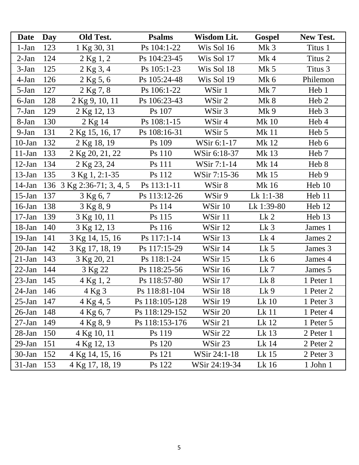| <b>Date</b> | Day | Old Test.                 | <b>Psalms</b>  | Wisdom Lit.   | Gospel          | New Test.        |
|-------------|-----|---------------------------|----------------|---------------|-----------------|------------------|
| $1-Jan$     | 123 | 1 Kg 30, 31               | Ps 104:1-22    | Wis Sol 16    | Mk <sub>3</sub> | Titus 1          |
| $2-Jan$     | 124 | 2 Kg 1, 2                 | Ps 104:23-45   | Wis Sol 17    | $Mk$ 4          | Titus 2          |
| $3-Jan$     | 125 | 2 Kg 3, 4                 | Ps 105:1-23    | Wis Sol 18    | $Mk$ 5          | Titus 3          |
| $4-Jan$     | 126 | $2$ Kg 5, 6               | Ps 105:24-48   | Wis Sol 19    | $Mk$ 6          | Philemon         |
| 5-Jan       | 127 | 2 Kg 7, 8                 | Ps 106:1-22    | WSir 1        | $Mk$ 7          | Heb 1            |
| 6-Jan       | 128 | 2 Kg 9, 10, 11            | Ps 106:23-43   | WSir 2        | Mk 8            | Heb <sub>2</sub> |
| $7-Jan$     | 129 | 2 Kg 12, 13               | Ps 107         | WSir 3        | Mk <sub>9</sub> | Heb 3            |
| 8-Jan       | 130 | 2 Kg 14                   | Ps 108:1-15    | WSir 4        | <b>Mk10</b>     | Heb 4            |
| $9-Ian$     | 131 | 2 Kg 15, 16, 17           | Ps 108:16-31   | WSir 5        | <b>Mk11</b>     | Heb 5            |
| $10-Jan$    | 132 | 2 Kg 18, 19               | Ps 109         | WSir 6:1-17   | Mk 12           | Heb 6            |
| $11-Jan$    | 133 | 2 Kg 20, 21, 22           | Ps 110         | WSir 6:18-37  | Mk 13           | Heb <sub>7</sub> |
| $12-Jan$    | 134 | 2 Kg 23, 24               | Ps 111         | WSir 7:1-14   | Mk 14           | Heb 8            |
| $13$ -Jan   | 135 | 3 Kg 1, 2:1-35            | Ps 112         | WSir 7:15-36  | <b>Mk15</b>     | Heb 9            |
| $14$ -Jan   |     | 136 3 Kg 2:36-71; 3, 4, 5 | Ps 113:1-11    | WSir 8        | Mk 16           | Heb 10           |
| $15$ -Jan   | 137 | 3 Kg 6, 7                 | Ps 113:12-26   | WSir 9        | Lk 1:1-38       | Heb 11           |
| $16$ -Jan   | 138 | 3 Kg 8, 9                 | Ps 114         | WSir 10       | Lk 1:39-80      | Heb 12           |
| $17-Jan$    | 139 | 3 Kg 10, 11               | Ps 115         | WSir 11       | Lk <sub>2</sub> | Heb 13           |
| $18$ -Jan   | 140 | 3 Kg 12, 13               | Ps 116         | WSir 12       | Lk <sub>3</sub> | James 1          |
| $19-Jan$    | 141 | 3 Kg 14, 15, 16           | Ps 117:1-14    | WSir 13       | $Lk$ 4          | James 2          |
| $20-Ian$    | 142 | 3 Kg 17, 18, 19           | Ps 117:15-29   | WSir 14       | Lk <sub>5</sub> | James 3          |
| $21$ -Jan   | 143 | 3 Kg 20, 21               | Ps 118:1-24    | WSir 15       | $Lk$ 6          | James 4          |
| $22-Ian$    | 144 | 3 Kg 22                   | Ps 118:25-56   | WSir 16       | Lk 7            | James 5          |
| $23$ -Jan   | 145 | 4 Kg 1, 2                 | Ps 118:57-80   | WSir 17       | Lk 8            | 1 Peter 1        |
| $24$ -Jan   | 146 | 4 Kg 3                    | Ps 118:81-104  | WSir 18       | Lk 9            | 1 Peter 2        |
| $25$ -Jan   | 147 | 4 Kg 4, 5                 | Ps 118:105-128 | WSir 19       | Lk 10           | 1 Peter 3        |
| $26$ -Jan   | 148 | 4 Kg 6, 7                 | Ps 118:129-152 | WSir 20       | Lk 11           | 1 Peter 4        |
| $27-Ian$    | 149 | 4 Kg 8, 9                 | Ps 118:153-176 | WSir 21       | Lk 12           | 1 Peter 5        |
| $28$ -Jan   | 150 | 4 Kg 10, 11               | Ps 119         | WSir 22       | Lk 13           | 2 Peter 1        |
| $29-Jan$    | 151 | 4 Kg 12, 13               | Ps 120         | WSir 23       | Lk 14           | 2 Peter 2        |
| $30 - Jan$  | 152 | 4 Kg 14, 15, 16           | Ps 121         | WSir 24:1-18  | Lk 15           | 2 Peter 3        |
| $31-Jan$    | 153 | 4 Kg 17, 18, 19           | Ps 122         | WSir 24:19-34 | Lk 16           | $1$ John $1$     |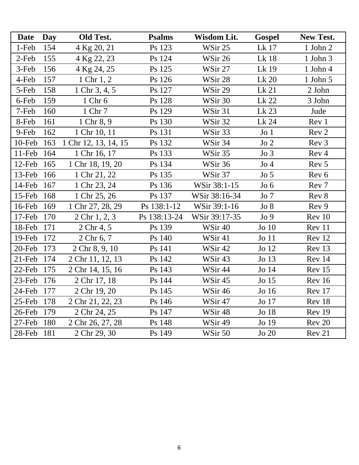| <b>Date</b> | Day | Old Test.            | <b>Psalms</b> | Wisdom Lit.   | Gospel           | New Test.        |
|-------------|-----|----------------------|---------------|---------------|------------------|------------------|
| 1-Feb       | 154 | 4 Kg 20, 21          | Ps 123        | WSir 25       | Lk 17            | 1 John 2         |
| 2-Feb       | 155 | 4 Kg 22, 23          | Ps 124        | WSir 26       | Lk 18            | 1 John 3         |
| 3-Feb       | 156 | 4 Kg 24, 25          | Ps 125        | WSir 27       | Lk 19            | $1$ John $4$     |
| 4-Feb       | 157 | 1 Chr 1, 2           | Ps 126        | WSir 28       | Lk 20            | $1$ John $5$     |
| 5-Feb       | 158 | 1 Chr 3, 4, 5        | Ps 127        | WSir 29       | Lk21             | 2 John           |
| 6-Feb       | 159 | 1 Chr 6              | Ps 128        | WSir 30       | Lk 22            | 3 John           |
| 7-Feb       | 160 | 1 Chr 7              | Ps 129        | WSir 31       | Lk 23            | Jude             |
| 8-Feb       | 161 | 1 Chr 8, 9           | Ps 130        | WSir 32       | Lk 24            | Rev 1            |
| 9-Feb       | 162 | 1 Chr 10, 11         | Ps 131        | WSir 33       | Jo <sub>1</sub>  | Rev 2            |
| 10-Feb      | 163 | 1 Chr 12, 13, 14, 15 | Ps 132        | WSir 34       | $Jo$ 2           | Rev <sub>3</sub> |
| $11-Feb$    | 164 | 1 Chr 16, 17         | Ps 133        | WSir 35       | $Jo$ 3           | Rev 4            |
| $12$ -Feb   | 165 | 1 Chr 18, 19, 20     | Ps 134        | WSir 36       | Jo4              | Rev <sub>5</sub> |
| $13$ -Feb   | 166 | 1 Chr 21, 22         | Ps 135        | WSir 37       | Jo <sub>5</sub>  | Rev 6            |
| $14$ -Feb   | 167 | 1 Chr 23, 24         | Ps 136        | WSir 38:1-15  | Jo <sub>6</sub>  | Rev <sub>7</sub> |
| $15$ -Feb   | 168 | 1 Chr 25, 26         | Ps 137        | WSir 38:16-34 | Jo7              | Rev 8            |
| $16$ -Feb   | 169 | 1 Chr 27, 28, 29     | Ps 138:1-12   | WSir 39:1-16  | Jo 8             | Rev 9            |
| $17$ -Feb   | 170 | $2$ Chr $1, 2, 3$    | Ps 138:13-24  | WSir 39:17-35 | Jo9              | Rev 10           |
| 18-Feb      | 171 | 2 Chr 4, 5           | Ps 139        | WSir 40       | $Jo$ 10          | Rev 11           |
| $19$ -Feb   | 172 | 2 Chr 6, 7           | Ps 140        | WSir 41       | Jo <sub>11</sub> | Rev 12           |
| $20$ -Feb   | 173 | 2 Chr 8, 9, 10       | Ps 141        | WSir 42       | Jo <sub>12</sub> | Rev 13           |
| $21$ -Feb   | 174 | 2 Chr 11, 12, 13     | Ps 142        | WSir 43       | $Jo$ 13          | Rev 14           |
| $22$ -Feb   | 175 | 2 Chr 14, 15, 16     | Ps 143        | WSir 44       | Jo <sub>14</sub> | Rev 15           |
| $23$ -Feb   | 176 | 2 Chr 17, 18         | Ps 144        | WSir 45       | Jo <sub>15</sub> | Rev 16           |
| 24-Feb      | 177 | 2 Chr 19, 20         | Ps 145        | WSir 46       | Jo <sub>16</sub> | Rev 17           |
| $25$ -Feb   | 178 | 2 Chr 21, 22, 23     | Ps 146        | WSir 47       | Jo 17            | Rev 18           |
| 26-Feb      | 179 | 2 Chr 24, 25         | Ps 147        | WSir 48       | Jo 18            | Rev 19           |
| 27-Feb      | 180 | 2 Chr 26, 27, 28     | Ps 148        | WSir 49       | Jo 19            | Rev 20           |
| 28-Feb      | 181 | 2 Chr 29, 30         | Ps 149        | WSir 50       | $Jo$ 20          | Rev 21           |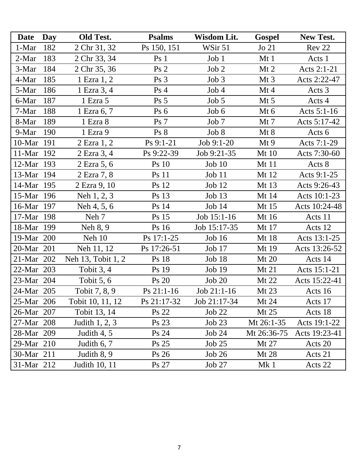| <b>Date</b> | Day | Old Test.          | <b>Psalms</b>   | Wisdom Lit.    | <b>Gospel</b>   | <b>New Test.</b> |
|-------------|-----|--------------------|-----------------|----------------|-----------------|------------------|
| 1-Mar       | 182 | 2 Chr 31, 32       | Ps 150, 151     | WSir 51        | $Jo$ 21         | Rev 22           |
| 2-Mar       | 183 | 2 Chr 33, 34       | Ps <sub>1</sub> | Job 1          | Mt1             | Acts 1           |
| 3-Mar       | 184 | 2 Chr 35, 36       | Ps <sub>2</sub> | Job 2          | $Mt$ 2          | Acts 2:1-21      |
| 4-Mar       | 185 | 1 Ezra 1, 2        | Ps <sub>3</sub> | Job 3          | Mt3             | Acts 2:22-47     |
| 5-Mar       | 186 | 1 Ezra 3, 4        | Ps <sub>4</sub> | Job4           | Mt4             | Acts 3           |
| 6-Mar       | 187 | 1 Ezra 5           | Ps <sub>5</sub> | Job 5          | $Mt$ 5          | Acts 4           |
| 7-Mar       | 188 | 1 Ezra 6, 7        | Ps <sub>6</sub> | Job 6          | Mt 6            | Acts 5:1-16      |
| 8-Mar       | 189 | 1 Ezra 8           | Ps <sub>7</sub> | Job 7          | Mt7             | Acts 5:17-42     |
| 9-Mar       | 190 | 1 Ezra 9           | Ps 8            | Job 8          | Mt 8            | Acts 6           |
| 10-Mar 191  |     | 2 Ezra 1, 2        | $Ps 9:1-21$     | $Job 9:1-20$   | Mt9             | Acts 7:1-29      |
| 11-Mar 192  |     | 2 Ezra 3, 4        | Ps 9:22-39      | Job 9:21-35    | Mt 10           | Acts 7:30-60     |
| 12-Mar 193  |     | 2 Ezra 5, 6        | Ps 10           | Job 10         | Mt 11           | Acts 8           |
| 13-Mar 194  |     | 2 Ezra 7, 8        | <b>Ps</b> 11    | Job 11         | Mt 12           | Acts 9:1-25      |
| 14-Mar 195  |     | 2 Ezra 9, 10       | Ps 12           | Job 12         | Mt 13           | Acts 9:26-43     |
| 15-Mar 196  |     | Neh 1, 2, 3        | Ps 13           | <b>Job 13</b>  | Mt 14           | Acts 10:1-23     |
| 16-Mar 197  |     | Neh 4, 5, 6        | Ps 14           | Job 14         | Mt 15           | Acts 10:24-48    |
| 17-Mar 198  |     | Neh 7              | Ps 15           | Job 15:1-16    | Mt 16           | Acts 11          |
| 18-Mar 199  |     | Neh 8, 9           | Ps 16           | Job 15:17-35   | Mt 17           | Acts 12          |
| 19-Mar 200  |     | Neh 10             | Ps 17:1-25      | Job 16         | Mt 18           | Acts 13:1-25     |
| 20-Mar 201  |     | Neh 11, 12         | Ps 17:26-51     | Job $17$       | Mt 19           | Acts 13:26-52    |
| 21-Mar 202  |     | Neh 13, Tobit 1, 2 | Ps 18           | Job 18         | Mt 20           | Acts 14          |
| 22-Mar 203  |     | Tobit $3, 4$       | Ps 19           | <b>Job 19</b>  | $Mt$ 21         | Acts 15:1-21     |
| 23-Mar 204  |     | Tobit $5, 6$       | Ps 20           | Job 20         | $Mt$ 22         | Acts 15:22-41    |
| 24-Mar 205  |     | Tobit 7, 8, 9      | $Ps 21:1-16$    | $Job 21:1-16$  | $Mt$ 23         | Acts 16          |
| 25-Mar 206  |     | Tobit 10, 11, 12   | Ps 21:17-32     | $Job 21:17-34$ | Mt 24           | Acts 17          |
| 26-Mar 207  |     | Tobit 13, 14       | <b>Ps</b> 22    | Job 22         | $Mt$ 25         | Acts 18          |
| 27-Mar 208  |     | Judith 1, 2, 3     | Ps 23           | <b>Job 23</b>  | Mt 26:1-35      | Acts 19:1-22     |
| 28-Mar 209  |     | Judith $4, 5$      | Ps 24           | Job 24         | Mt 26:36-75     | Acts 19:23-41    |
| 29-Mar 210  |     | Judith 6, 7        | Ps 25           | Job 25         | Mt 27           | Acts 20          |
| 30-Mar 211  |     | Judith 8, 9        | Ps 26           | Job 26         | Mt 28           | Acts 21          |
| 31-Mar 212  |     | Judith 10, 11      | Ps 27           | Job 27         | Mk <sub>1</sub> | Acts 22          |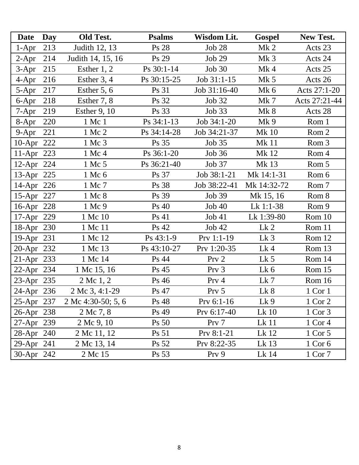| <b>Date</b> | Day | Old Test.          | <b>Psalms</b>    | Wisdom Lit.      | <b>Gospel</b>   | New Test.     |
|-------------|-----|--------------------|------------------|------------------|-----------------|---------------|
| $1-Apr$     | 213 | Judith 12, 13      | Ps 28            | Job 28           | $Mk$ 2          | Acts 23       |
| $2-Apr$     | 214 | Judith 14, 15, 16  | Ps 29            | <b>Job 29</b>    | Mk <sub>3</sub> | Acts 24       |
| 3-Apr       | 215 | Esther 1, 2        | Ps 30:1-14       | Job 30           | $Mk$ 4          | Acts 25       |
| $4-Apr$     | 216 | Esther $3, 4$      | Ps 30:15-25      | Job 31:1-15      | Mk <sub>5</sub> | Acts 26       |
| 5-Apr       | 217 | Esther 5, 6        | Ps 31            | Job 31:16-40     | Mk 6            | Acts 27:1-20  |
| 6-Apr       | 218 | Esther 7, 8        | Ps 32            | Job 32           | $Mk$ 7          | Acts 27:21-44 |
| $7 - Apr$   | 219 | Esther $9, 10$     | Ps 33            | Job 33           | Mk <sub>8</sub> | Acts 28       |
| 8-Apr       | 220 | 1 Mc 1             | Ps 34:1-13       | Job 34:1-20      | Mk 9            | Rom 1         |
| 9-Apr       | 221 | 1 Mc 2             | Ps 34:14-28      | Job 34:21-37     | <b>Mk10</b>     | Rom 2         |
| 10-Apr 222  |     | 1 Mc 3             | Ps 35            | Job 35           | <b>Mk</b> 11    | Rom 3         |
| 11-Apr 223  |     | 1 Mc 4             | Ps 36:1-20       | Job 36           | Mk 12           | Rom 4         |
| 12-Apr 224  |     | 1 Mc 5             | Ps 36:21-40      | Job $37$         | Mk 13           | Rom 5         |
| 13-Apr 225  |     | 1 Mc 6             | Ps 37            | Job 38:1-21      | Mk 14:1-31      | Rom 6         |
| 14-Apr 226  |     | 1 Mc 7             | Ps 38            | Job 38:22-41     | Mk 14:32-72     | Rom 7         |
| 15-Apr 227  |     | 1 Mc 8             | Ps 39            | Job 39           | Mk 15, 16       | Rom 8         |
| 16-Apr 228  |     | 1 Mc 9             | Ps 40            | Job40            | Lk 1:1-38       | Rom 9         |
| 17-Apr 229  |     | 1 Mc 10            | Ps 41            | Job 41           | Lk 1:39-80      | Rom 10        |
| 18-Apr 230  |     | 1 Mc 11            | Ps 42            | Job 42           | Lk <sub>2</sub> | Rom 11        |
| 19-Apr 231  |     | 1 Mc 12            | $Ps$ 43:1-9      | $Prv 1:1-19$     | Lk <sub>3</sub> | Rom 12        |
| 20-Apr 232  |     | 1 Mc 13            | Ps 43:10-27      | Prv 1:20-35      | $Lk$ 4          | Rom 13        |
| 21-Apr 233  |     | 1 Mc 14            | Ps 44            | Prv <sub>2</sub> | Lk <sub>5</sub> | Rom 14        |
| 22-Apr 234  |     | 1 Mc 15, 16        | Ps <sub>45</sub> | Prv <sub>3</sub> | $Lk$ 6          | Rom 15        |
| 23-Apr 235  |     | 2 Mc 1, 2          | Ps 46            | Prv 4            | $Lk$ 7          | Rom 16        |
| 24-Apr 236  |     | 2 Mc 3, 4:1-29     | Ps 47            | Prv <sub>5</sub> | Lk 8            | 1 Cor 1       |
| 25-Apr 237  |     | 2 Mc 4:30-50; 5, 6 | Ps 48            | Prv $6:1-16$     | Lk9             | 1 Cor 2       |
| 26-Apr 238  |     | 2 Mc 7, 8          | Ps 49            | Prv 6:17-40      | Lk 10           | 1 Cor 3       |
| 27-Apr 239  |     | 2 Mc 9, 10         | <b>Ps</b> 50     | Prv 7            | $Lk$ 11         | $1$ Cor 4     |
| 28-Apr 240  |     | 2 Mc 11, 12        | <b>Ps</b> 51     | $Prv 8:1-21$     | Lk 12           | 1 Cor 5       |
| 29-Apr 241  |     | 2 Mc 13, 14        | Ps 52            | Prv 8:22-35      | Lk 13           | $1$ Cor $6$   |
| 30-Apr 242  |     | 2 Mc 15            | Ps 53            | Prv 9            | Lk 14           | $1$ Cor $7$   |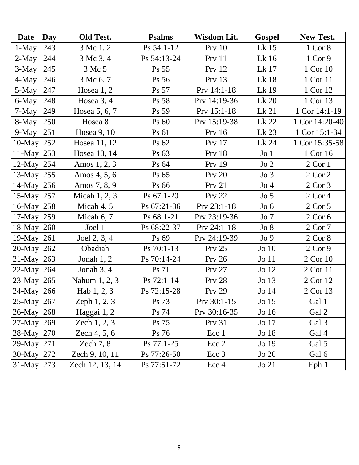| Date       | Day | Old Test.       | <b>Psalms</b> | Wisdom Lit.       | <b>Gospel</b>    | New Test.        |
|------------|-----|-----------------|---------------|-------------------|------------------|------------------|
| $1-May$    | 243 | 3 Mc 1, 2       | Ps 54:1-12    | Prv 10            | Lk 15            | 1 Cor 8          |
| 2-May      | 244 | 3 Mc 3, 4       | Ps 54:13-24   | Prv <sub>11</sub> | Lk 16            | 1 Cor 9          |
| 3-May      | 245 | 3 Mc 5          | Ps 55         | Prv 12            | Lk 17            | 1 Cor 10         |
| 4-May      | 246 | 3 Mc 6, 7       | Ps 56         | Prv 13            | Lk 18            | 1 Cor 11         |
| 5-May      | 247 | Hosea $1, 2$    | Ps 57         | Prv 14:1-18       | Lk 19            | 1 Cor 12         |
| 6-May      | 248 | Hosea 3, 4      | Ps 58         | Prv 14:19-36      | Lk 20            | 1 Cor 13         |
| 7-May      | 249 | Hosea 5, 6, 7   | Ps 59         | Prv $15:1-18$     | Lk21             | 1 Cor 14:1-19    |
| 8-May      | 250 | Hosea 8         | Ps 60         | Prv 15:19-38      | Lk 22            | 1 Cor 14:20-40   |
| 9-May      | 251 | Hosea 9, 10     | Ps 61         | Prv 16            | Lk 23            | 1 Cor 15:1-34    |
| 10-May 252 |     | Hosea 11, 12    | Ps 62         | Prv 17            | Lk 24            | 1 Cor 15:35-58   |
| 11-May 253 |     | Hosea 13, 14    | Ps 63         | <b>Prv</b> 18     | Jo <sub>1</sub>  | 1 Cor 16         |
| 12-May 254 |     | Amos 1, 2, 3    | Ps 64         | Prv 19            | $Jo$ 2           | $2$ Cor $1$      |
| 13-May 255 |     | Amos 4, 5, 6    | Ps 65         | Prv 20            | $Jo$ 3           | $2$ Cor $2$      |
| 14-May 256 |     | Amos 7, 8, 9    | Ps 66         | Prv 21            | Jo <sub>4</sub>  | $2$ Cor $3$      |
| 15-May 257 |     | Micah $1, 2, 3$ | Ps $67:1-20$  | Prv 22            | Jo <sub>5</sub>  | $2$ Cor 4        |
| 16-May 258 |     | Micah $4, 5$    | Ps 67:21-36   | $Prv 23:1-18$     | Jo <sub>6</sub>  | $2$ Cor 5        |
| 17-May 259 |     | Micah $6, 7$    | Ps 68:1-21    | Prv 23:19-36      | Jo7              | $2$ Cor $6$      |
| 18-May 260 |     | Joel 1          | Ps 68:22-37   | $Prv 24:1-18$     | Jo 8             | $2$ Cor $7$      |
| 19-May 261 |     | Joel $2, 3, 4$  | Ps 69         | Prv 24:19-39      | Jo9              | $2$ Cor $8$      |
| 20-May 262 |     | Obadiah         | Ps 70:1-13    | $Prv$ 25          | $Jo$ 10          | $2$ Cor $9$      |
| 21-May 263 |     | Jonah $1, 2$    | Ps 70:14-24   | Prv 26            | $Jo$ 11          | 2 Cor 10         |
| 22-May 264 |     | Jonah $3, 4$    | Ps 71         | <b>Prv 27</b>     | Jo 12            | 2 Cor 11         |
| 23-May 265 |     | Nahum 1, 2, 3   | $Ps 72:1-14$  | <b>Prv 28</b>     | Jo 13            | 2 Cor 12         |
| 24-May 266 |     | Hab 1, 2, 3     | Ps 72:15-28   | Prv 29            | Jo 14            | 2 Cor 13         |
| 25-May 267 |     | Zeph $1, 2, 3$  | Ps 73         | Prv $30:1-15$     | Jo <sub>15</sub> | Gal 1            |
| 26-May 268 |     | Haggai 1, 2     | Ps 74         | Prv 30:16-35      | Jo 16            | Gal 2            |
| 27-May 269 |     | Zech $1, 2, 3$  | Ps 75         | <b>Prv</b> 31     | Jo 17            | Gal 3            |
| 28-May 270 |     | Zech 4, 5, 6    | Ps 76         | Ecc 1             | Jo 18            | Gal 4            |
| 29-May 271 |     | Zech $7, 8$     | Ps 77:1-25    | Ecc 2             | Jo 19            | Gal 5            |
| 30-May 272 |     | Zech 9, 10, 11  | Ps 77:26-50   | Ecc 3             | $Jo$ 20          | Gal 6            |
| 31-May 273 |     | Zech 12, 13, 14 | Ps 77:51-72   | Ecc 4             | $Jo$ 21          | Eph <sub>1</sub> |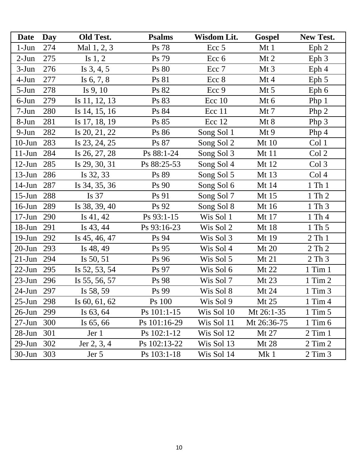| Date       | Day | Old Test.             | <b>Psalms</b> | Wisdom Lit. | <b>Gospel</b>   | New Test.        |
|------------|-----|-----------------------|---------------|-------------|-----------------|------------------|
| $1-Jun$    | 274 | Mal 1, 2, 3           | Ps 78         | Ecc 5       | Mt1             | Eph 2            |
| $2-Jun$    | 275 | Is $1, 2$             | Ps 79         | Ecc 6       | $Mt$ 2          | Eph $3$          |
| $3-Jun$    | 276 | Is $3, 4, 5$          | Ps 80         | Ecc 7       | Mt3             | Eph 4            |
| $4-Jun$    | 277 | Is $6, 7, 8$          | Ps 81         | Ecc 8       | Mt4             | Eph $5$          |
| 5-Jun      | 278 | Is $9, 10$            | Ps 82         | Ecc 9       | $Mt$ 5          | Eph 6            |
| 6-Jun      | 279 | Is 11, 12, 13         | Ps 83         | $Ecc$ 10    | Mt 6            | Php $1$          |
| $7-Jun$    | 280 | Is 14, 15, 16         | Ps 84         | Ecc 11      | $Mt$ 7          | Php $2$          |
| 8-Jun      | 281 | Is 17, 18, 19         | Ps 85         | Ecc 12      | Mt 8            | Php $3$          |
| 9-Jun      | 282 | Is 20, 21, 22         | Ps 86         | Song Sol 1  | Mt9             | Php $4$          |
| $10-J$ un  | 283 | Is 23, 24, 25         | Ps 87         | Song Sol 2  | Mt 10           | Col 1            |
| $11$ -Jun  | 284 | Is 26, 27, 28         | $Ps 88:1-24$  | Song Sol 3  | Mt 11           | Col 2            |
| $12-Jun$   | 285 | Is 29, 30, 31         | Ps 88:25-53   | Song Sol 4  | Mt 12           | Col 3            |
| $13$ -Jun  | 286 | Is $32, 33$           | Ps 89         | Song Sol 5  | Mt 13           | Col <sub>4</sub> |
| $14$ -Jun  | 287 | Is 34, 35, 36         | Ps 90         | Song Sol 6  | Mt 14           | $1$ Th $1$       |
| $15$ -Jun  | 288 | Is $37$               | Ps 91         | Song Sol 7  | Mt 15           | 1 Th 2           |
| $16$ -Jun  | 289 | Is 38, 39, 40         | Ps 92         | Song Sol 8  | Mt 16           | 1 Th 3           |
| $17 - Jun$ | 290 | Is $41, 42$           | $Ps\,93:1-15$ | Wis Sol 1   | Mt 17           | 1 Th 4           |
| $18 - Jun$ | 291 | Is $43, 44$           | Ps 93:16-23   | Wis Sol 2   | Mt 18           | 1 Th 5           |
| $19$ -Jun  | 292 | Is 45, 46, 47         | Ps 94         | Wis Sol 3   | Mt 19           | 2 Th 1           |
| $20$ -Jun  | 293 | Is $48, 49$           | Ps 95         | Wis Sol 4   | Mt 20           | 2 Th 2           |
| $21$ -Jun  | 294 | Is $50, 51$           | Ps 96         | Wis Sol 5   | Mt 21           | 2 Th 3           |
| $22$ -Jun  | 295 | Is 52, 53, 54         | Ps 97         | Wis Sol 6   | Mt 22           | $1$ Tim $1$      |
| 23-Jun     | 296 | Is 55, 56, 57         | Ps 98         | Wis Sol 7   | $Mt$ 23         | $1$ Tim $2$      |
| $24$ -Jun  | 297 | Is 58, 59             | Ps 99         | Wis Sol 8   | Mt 24           | $1$ Tim $3$      |
| $25$ -Jun  | 298 | Is $60, 61, 62$       | Ps 100        | Wis Sol 9   | Mt 25           | $1$ Tim $4$      |
| 26-Jun     | 299 | Is $63, 64$           | Ps 101:1-15   | Wis Sol 10  | Mt 26:1-35      | $1$ Tim $5$      |
| 27-Jun     | 300 | Is $65, 66$           | Ps 101:16-29  | Wis Sol 11  | Mt 26:36-75     | $1$ Tim $6$      |
| $28 - Jun$ | 301 | Jer 1                 | Ps 102:1-12   | Wis Sol 12  | Mt 27           | $2$ Tim $1$      |
| $29$ -Jun  | 302 | $\text{Jer } 2, 3, 4$ | Ps 102:13-22  | Wis Sol 13  | Mt 28           | $2$ Tim $2$      |
| 30-Jun     | 303 | Jer 5                 | Ps 103:1-18   | Wis Sol 14  | Mk <sub>1</sub> | $2$ Tim $3$      |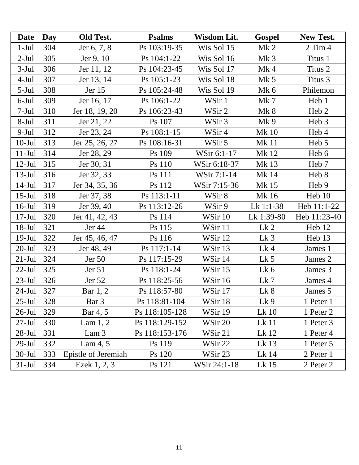| Date       | <b>Day</b> | Old Test.           | <b>Psalms</b>  | Wisdom Lit.  | Gospel          | New Test.        |
|------------|------------|---------------------|----------------|--------------|-----------------|------------------|
| $1-Ju1$    | 304        | Jer 6, 7, 8         | Ps 103:19-35   | Wis Sol 15   | Mk <sub>2</sub> | $2$ Tim $4$      |
| $2-Jul$    | 305        | Jer 9, 10           | Ps 104:1-22    | Wis Sol 16   | Mk <sub>3</sub> | Titus 1          |
| $3-Jul$    | 306        | Jer 11, 12          | Ps 104:23-45   | Wis Sol 17   | $Mk$ 4          | Titus 2          |
| $4-Jul$    | 307        | Jer 13, 14          | Ps 105:1-23    | Wis Sol 18   | Mk <sub>5</sub> | Titus 3          |
| $5-Jul$    | 308        | Jer $15$            | Ps 105:24-48   | Wis Sol 19   | $Mk$ 6          | Philemon         |
| $6$ -Jul   | 309        | Jer 16, 17          | Ps 106:1-22    | WSir 1       | $Mk$ 7          | Heb 1            |
| $7-Jul$    | 310        | Jer 18, 19, 20      | Ps 106:23-43   | WSir 2       | Mk <sub>8</sub> | Heb <sub>2</sub> |
| $8-Jul$    | 311        | Jer 21, 22          | Ps 107         | WSir 3       | Mk 9            | Heb 3            |
| $9-Jul$    | 312        | Jer 23, 24          | Ps 108:1-15    | WSir 4       | <b>Mk10</b>     | Heb 4            |
| $10-Jul$   | 313        | Jer 25, 26, 27      | Ps 108:16-31   | WSir 5       | <b>Mk11</b>     | Heb 5            |
| $11-Jul$   | 314        | Jer 28, 29          | Ps 109         | WSir 6:1-17  | <b>Mk12</b>     | Heb 6            |
| $12-Jul$   | 315        | Jer 30, 31          | Ps 110         | WSir 6:18-37 | Mk 13           | Heb <sub>7</sub> |
| $13-Jul$   | 316        | Jer 32, 33          | Ps 111         | WSir 7:1-14  | Mk 14           | Heb 8            |
| $14-Jul$   | 317        | Jer 34, 35, 36      | Ps 112         | WSir 7:15-36 | <b>Mk15</b>     | Heb 9            |
| $15$ -Jul  | 318        | Jer 37, 38          | Ps 113:1-11    | WSir 8       | Mk 16           | Heb 10           |
| $16$ -Jul  | 319        | Jer 39, 40          | Ps 113:12-26   | WSir 9       | Lk 1:1-38       | Heb 11:1-22      |
| $17-Jul$   | 320        | Jer 41, 42, 43      | Ps 114         | WSir 10      | Lk 1:39-80      | Heb 11:23-40     |
| $18-Jul$   | 321        | Jer 44              | Ps 115         | WSir 11      | Lk <sub>2</sub> | Heb 12           |
| $19-Jul$   | 322        | Jer 45, 46, 47      | Ps 116         | WSir 12      | Lk <sub>3</sub> | Heb 13           |
| $20-Jul$   | 323        | Jer 48, 49          | Ps 117:1-14    | WSir 13      | Lk4             | James 1          |
| $21-Jul$   | 324        | Jer $50$            | Ps 117:15-29   | WSir 14      | $Lk$ 5          | James 2          |
| $22-Jul$   | 325        | Jer 51              | Ps 118:1-24    | WSir 15      | $Lk$ 6          | James 3          |
| $23-Jul$   | 326        | Jer $52$            | Ps 118:25-56   | WSir 16      | $Lk$ 7          | James 4          |
| $24-Jul$   | 327        | Bar 1, 2            | Ps 118:57-80   | WSir 17      | Lk 8            | James 5          |
| $25$ -Jul  | 328        | Bar 3               | Ps 118:81-104  | WSir 18      | Lk 9            | 1 Peter 1        |
| 26-Jul     | 329        | Bar 4, 5            | Ps 118:105-128 | WSir 19      | Lk 10           | 1 Peter 2        |
| 27-Jul     | 330        | Lam $1, 2$          | Ps 118:129-152 | WSir 20      | $Lk$ 11         | 1 Peter 3        |
| 28-Jul     | 331        | Lam <sub>3</sub>    | Ps 118:153-176 | WSir 21      | Lk 12           | 1 Peter 4        |
| $29-Jul$   | 332        | Lam 4, 5            | Ps 119         | WSir 22      | Lk 13           | 1 Peter 5        |
| $30 -$ Jul | 333        | Epistle of Jeremiah | Ps 120         | WSir 23      | Lk 14           | 2 Peter 1        |
| $31$ -Jul  | 334        | Ezek 1, 2, 3        | Ps 121         | WSir 24:1-18 | $Lk$ 15         | 2 Peter 2        |